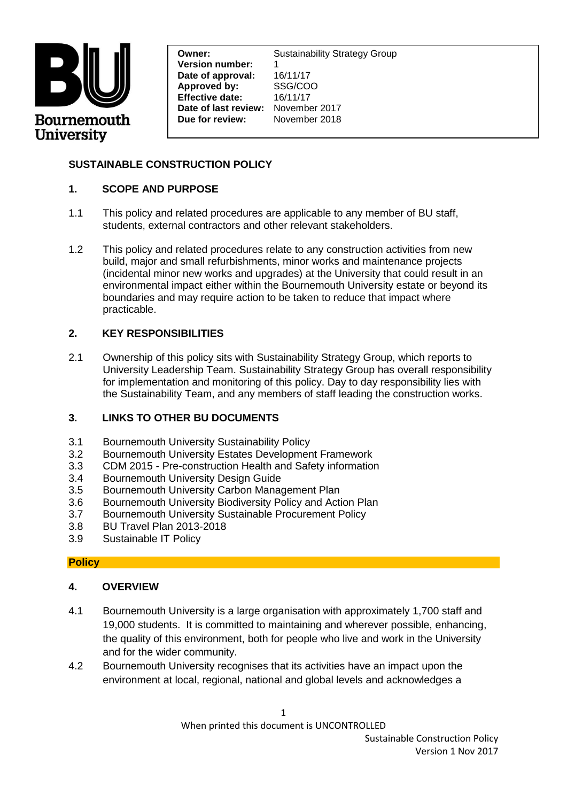

**Effective date:** 16/11/17<br>**Date of last review:** November 2017 **Version number:** 1 **Date of approval:** 16/11/17 **Approved by:** SSG/COO **Effective date:** 16/11/17 **Due for review:** November 2018

**Owner:** Sustainability Strategy Group

# **SUSTAINABLE CONSTRUCTION POLICY**

### **1. SCOPE AND PURPOSE**

- 1.1 This policy and related procedures are applicable to any member of BU staff, students, external contractors and other relevant stakeholders.
- 1.2 This policy and related procedures relate to any construction activities from new build, major and small refurbishments, minor works and maintenance projects (incidental minor new works and upgrades) at the University that could result in an environmental impact either within the Bournemouth University estate or beyond its boundaries and may require action to be taken to reduce that impact where practicable.

# **2. KEY RESPONSIBILITIES**

2.1 Ownership of this policy sits with Sustainability Strategy Group, which reports to University Leadership Team. Sustainability Strategy Group has overall responsibility for implementation and monitoring of this policy. Day to day responsibility lies with the Sustainability Team, and any members of staff leading the construction works.

## **3. LINKS TO OTHER BU DOCUMENTS**

- 3.1 Bournemouth University Sustainability Policy
- 3.2 Bournemouth University Estates Development Framework
- 3.3 CDM 2015 Pre-construction Health and Safety information
- 3.4 Bournemouth University Design Guide
- 3.5 Bournemouth University Carbon Management Plan
- 3.6 Bournemouth University Biodiversity Policy and Action Plan
- 3.7 Bournemouth University Sustainable Procurement Policy
- 3.8 BU Travel Plan 2013-2018
- 3.9 Sustainable IT Policy

## **Policy**

## **4. OVERVIEW**

- 4.1 Bournemouth University is a large organisation with approximately 1,700 staff and 19,000 students. It is committed to maintaining and wherever possible, enhancing, the quality of this environment, both for people who live and work in the University and for the wider community.
- 4.2 Bournemouth University recognises that its activities have an impact upon the environment at local, regional, national and global levels and acknowledges a

When printed this document is UNCONTROLLED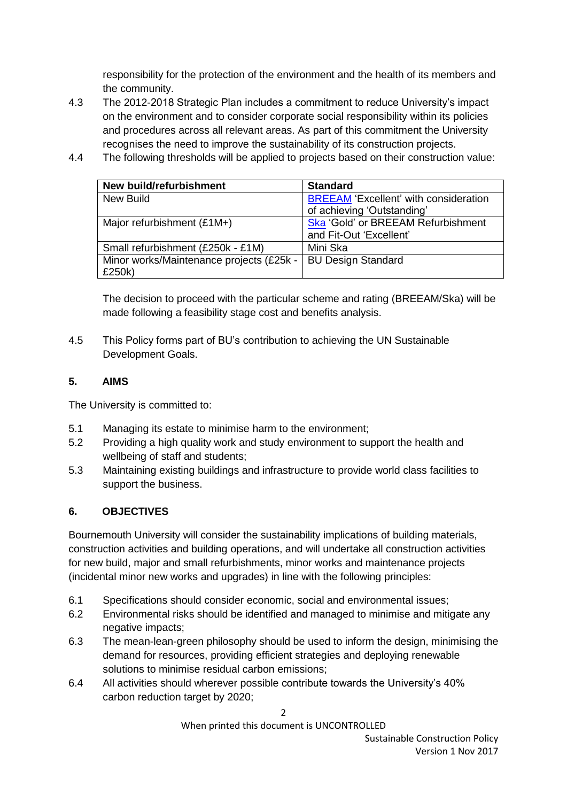responsibility for the protection of the environment and the health of its members and the community.

- 4.3 The 2012-2018 Strategic Plan includes a commitment to reduce University's impact on the environment and to consider corporate social responsibility within its policies and procedures across all relevant areas. As part of this commitment the University recognises the need to improve the sustainability of its construction projects.
- 4.4 The following thresholds will be applied to projects based on their construction value:

| New build/refurbishment                  | <b>Standard</b>                              |
|------------------------------------------|----------------------------------------------|
| New Build                                | <b>BREEAM 'Excellent' with consideration</b> |
|                                          | of achieving 'Outstanding'                   |
| Major refurbishment (£1M+)               | Ska 'Gold' or BREEAM Refurbishment           |
|                                          | and Fit-Out 'Excellent'                      |
| Small refurbishment (£250k - £1M)        | Mini Ska                                     |
| Minor works/Maintenance projects (£25k - | <b>BU Design Standard</b>                    |
| £250k)                                   |                                              |

The decision to proceed with the particular scheme and rating (BREEAM/Ska) will be made following a feasibility stage cost and benefits analysis.

4.5 This Policy forms part of BU's contribution to achieving the UN Sustainable Development Goals.

# **5. AIMS**

The University is committed to:

- 5.1 Managing its estate to minimise harm to the environment;
- 5.2 Providing a high quality work and study environment to support the health and wellbeing of staff and students;
- 5.3 Maintaining existing buildings and infrastructure to provide world class facilities to support the business.

# **6. OBJECTIVES**

Bournemouth University will consider the sustainability implications of building materials, construction activities and building operations, and will undertake all construction activities for new build, major and small refurbishments, minor works and maintenance projects (incidental minor new works and upgrades) in line with the following principles:

- 6.1 Specifications should consider economic, social and environmental issues;
- 6.2 Environmental risks should be identified and managed to minimise and mitigate any negative impacts;
- 6.3 The mean-lean-green philosophy should be used to inform the design, minimising the demand for resources, providing efficient strategies and deploying renewable solutions to minimise residual carbon emissions;
- 6.4 All activities should wherever possible contribute towards the University's 40% carbon reduction target by 2020;

When printed this document is UNCONTROLLED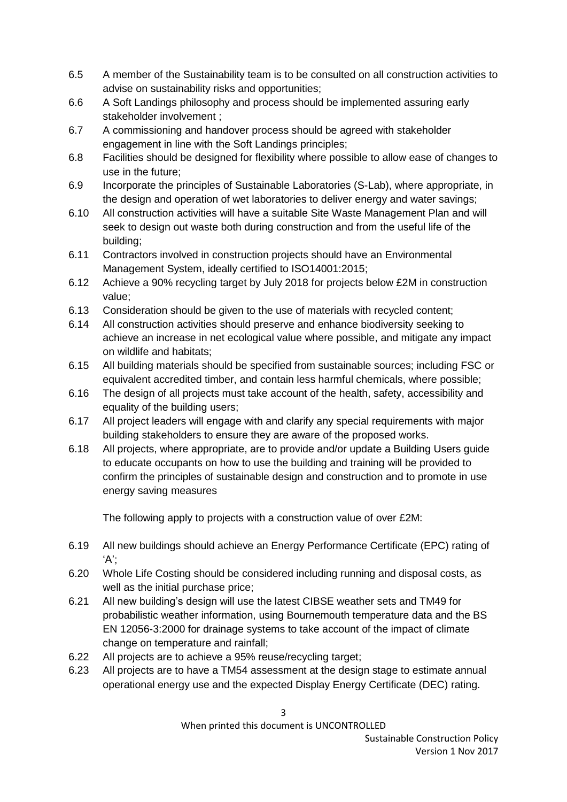- 6.5 A member of the Sustainability team is to be consulted on all construction activities to advise on sustainability risks and opportunities;
- 6.6 A Soft Landings philosophy and process should be implemented assuring early stakeholder involvement ;
- 6.7 A commissioning and handover process should be agreed with stakeholder engagement in line with the Soft Landings principles;
- 6.8 Facilities should be designed for flexibility where possible to allow ease of changes to use in the future;
- 6.9 Incorporate the principles of Sustainable Laboratories (S-Lab), where appropriate, in the design and operation of wet laboratories to deliver energy and water savings;
- 6.10 All construction activities will have a suitable Site Waste Management Plan and will seek to design out waste both during construction and from the useful life of the building;
- 6.11 Contractors involved in construction projects should have an Environmental Management System, ideally certified to ISO14001:2015;
- 6.12 Achieve a 90% recycling target by July 2018 for projects below £2M in construction value;
- 6.13 Consideration should be given to the use of materials with recycled content;
- 6.14 All construction activities should preserve and enhance biodiversity seeking to achieve an increase in net ecological value where possible, and mitigate any impact on wildlife and habitats;
- 6.15 All building materials should be specified from sustainable sources; including FSC or equivalent accredited timber, and contain less harmful chemicals, where possible;
- 6.16 The design of all projects must take account of the health, safety, accessibility and equality of the building users;
- 6.17 All project leaders will engage with and clarify any special requirements with major building stakeholders to ensure they are aware of the proposed works.
- 6.18 All projects, where appropriate, are to provide and/or update a Building Users guide to educate occupants on how to use the building and training will be provided to confirm the principles of sustainable design and construction and to promote in use energy saving measures

The following apply to projects with a construction value of over £2M:

- 6.19 All new buildings should achieve an Energy Performance Certificate (EPC) rating of  $'A$ :
- 6.20 Whole Life Costing should be considered including running and disposal costs, as well as the initial purchase price;
- 6.21 All new building's design will use the latest CIBSE weather sets and TM49 for probabilistic weather information, using Bournemouth temperature data and the BS EN 12056-3:2000 for drainage systems to take account of the impact of climate change on temperature and rainfall;
- 6.22 All projects are to achieve a 95% reuse/recycling target;
- 6.23 All projects are to have a TM54 assessment at the design stage to estimate annual operational energy use and the expected Display Energy Certificate (DEC) rating.